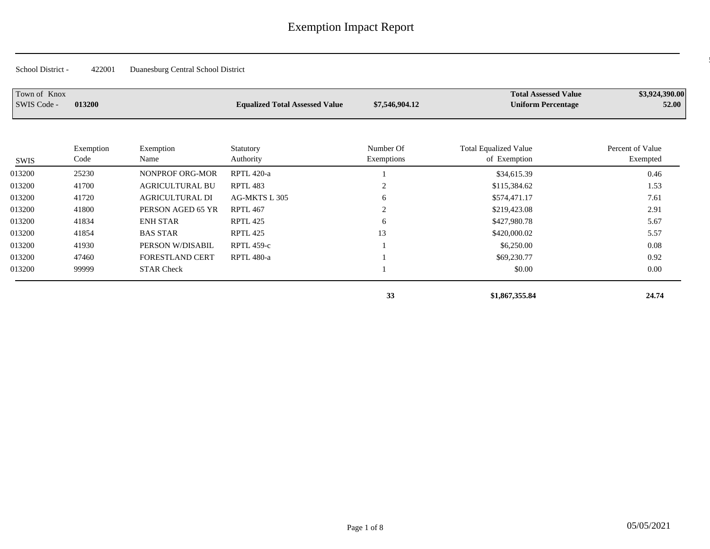| Town of Knox<br>SWIS Code - | 013200            |                        | <b>Equalized Total Assessed Value</b> | \$7,546,904.12          | <b>Total Assessed Value</b><br><b>Uniform Percentage</b> | \$3,924,390.00<br>52.00      |
|-----------------------------|-------------------|------------------------|---------------------------------------|-------------------------|----------------------------------------------------------|------------------------------|
| SWIS                        | Exemption<br>Code | Exemption<br>Name      | Statutory<br>Authority                | Number Of<br>Exemptions | <b>Total Equalized Value</b><br>of Exemption             | Percent of Value<br>Exempted |
| 013200                      | 25230             | NONPROF ORG-MOR        | <b>RPTL 420-a</b>                     |                         | \$34,615.39                                              | 0.46                         |
| 013200                      | 41700             | <b>AGRICULTURAL BU</b> | RPTL 483                              | ◠<br>∠                  | \$115,384.62                                             | 1.53                         |
| 013200                      | 41720             | <b>AGRICULTURAL DI</b> | AG-MKTS L 305                         | 6                       | \$574,471.17                                             | 7.61                         |
| 013200                      | 41800             | PERSON AGED 65 YR      | <b>RPTL 467</b>                       | ↑                       | \$219,423.08                                             | 2.91                         |
| 013200                      | 41834             | <b>ENH STAR</b>        | <b>RPTL 425</b>                       | 6                       | \$427,980.78                                             | 5.67                         |
| 013200                      | 41854             | <b>BAS STAR</b>        | RPTL 425                              | 13                      | \$420,000.02                                             | 5.57                         |
| 013200                      | 41930             | PERSON W/DISABIL       | <b>RPTL 459-c</b>                     |                         | \$6,250.00                                               | 0.08                         |
| 013200                      | 47460             | <b>FORESTLAND CERT</b> | <b>RPTL 480-a</b>                     |                         | \$69,230.77                                              | 0.92                         |
| 013200                      | 99999             | <b>STAR Check</b>      |                                       |                         | \$0.00                                                   | 0.00                         |

 **33 \$1,867,355.84 24.74**

 $0.1220\pm0.000$   $0.1220\pm0.000$   $0.1220\pm0.000$   $0.1220\pm0.000$   $0.1220\pm0.000$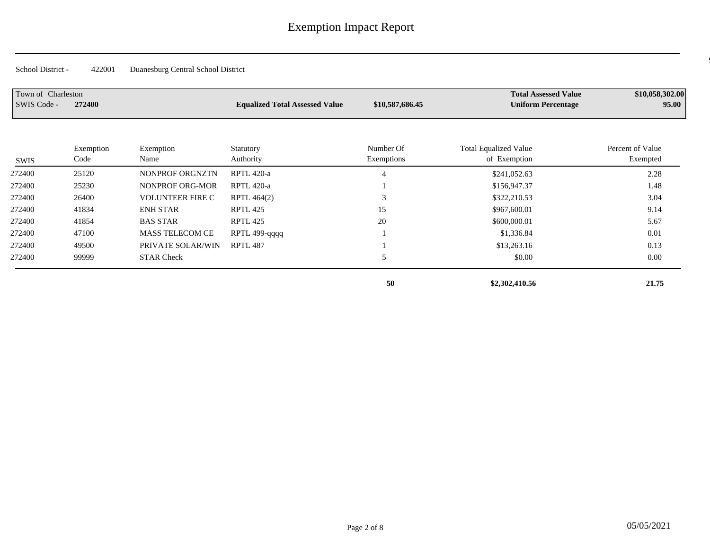| Town of Charleston<br>SWIS Code - | 272400            |                         | <b>Equalized Total Assessed Value</b> | \$10,587,686.45         | <b>Total Assessed Value</b><br><b>Uniform Percentage</b> | \$10,058,302.00<br>95.00     |
|-----------------------------------|-------------------|-------------------------|---------------------------------------|-------------------------|----------------------------------------------------------|------------------------------|
| SWIS                              | Exemption<br>Code | Exemption<br>Name       | Statutory<br>Authority                | Number Of<br>Exemptions | <b>Total Equalized Value</b><br>of Exemption             | Percent of Value<br>Exempted |
| 272400                            | 25120             | NONPROF ORGNZTN         | <b>RPTL 420-a</b>                     |                         | \$241,052.63                                             | 2.28                         |
| 272400                            | 25230             | NONPROF ORG-MOR         | RPTL 420-a                            |                         | \$156,947.37                                             | 1.48                         |
| 272400                            | 26400             | <b>VOLUNTEER FIRE C</b> | RPTL 464(2)                           |                         | \$322,210.53                                             | 3.04                         |
| 272400                            | 41834             | <b>ENH STAR</b>         | <b>RPTL 425</b>                       | 15                      | \$967,600.01                                             | 9.14                         |
| 272400                            | 41854             | <b>BAS STAR</b>         | RPTL 425                              | 20                      | \$600,000.01                                             | 5.67                         |
| 272400                            | 47100             | <b>MASS TELECOM CE</b>  | RPTL 499-qqqq                         |                         | \$1,336.84                                               | 0.01                         |
| 272400                            | 49500             | PRIVATE SOLAR/WIN       | <b>RPTL 487</b>                       |                         | \$13,263.16                                              | 0.13                         |
| 272400                            | 99999             | <b>STAR Check</b>       |                                       | 5                       | \$0.00                                                   | 0.00                         |
|                                   |                   |                         |                                       | 50                      | \$2,302,410.56                                           | 21.75                        |

 $\overline{\mathcal{C}}$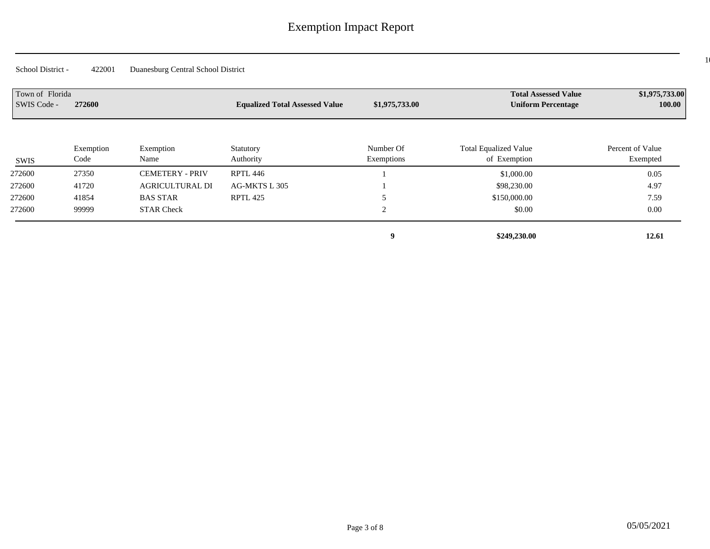$10$ 

| Town of Florida<br>SWIS Code - | 272600            |                        | <b>Equalized Total Assessed Value</b> | \$1,975,733.00          | <b>Total Assessed Value</b><br><b>Uniform Percentage</b> | \$1,975,733.00<br>100.00     |
|--------------------------------|-------------------|------------------------|---------------------------------------|-------------------------|----------------------------------------------------------|------------------------------|
| SWIS                           | Exemption<br>Code | Exemption<br>Name      | Statutory<br>Authority                | Number Of<br>Exemptions | <b>Total Equalized Value</b><br>of Exemption             | Percent of Value<br>Exempted |
| 272600                         | 27350             | <b>CEMETERY - PRIV</b> | RPTL 446                              |                         | \$1,000.00                                               | 0.05                         |
| 272600                         | 41720             | <b>AGRICULTURAL DI</b> | AG-MKTS L 305                         |                         | \$98,230.00                                              | 4.97                         |
| 272600                         | 41854             | <b>BAS STAR</b>        | <b>RPTL 425</b>                       |                         | \$150,000.00                                             | 7.59                         |
| 272600                         | 99999             | <b>STAR Check</b>      |                                       | $\sim$                  | \$0.00                                                   | 0.00                         |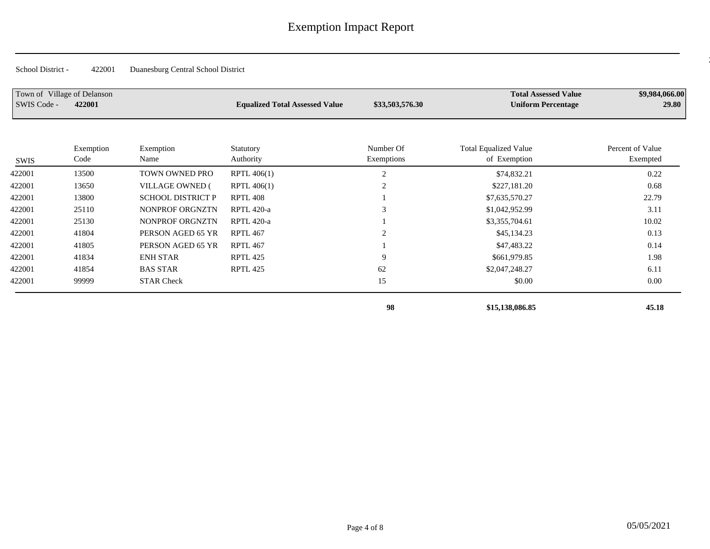| Town of Village of Delanson<br>SWIS Code - | 422001            |                          | <b>Equalized Total Assessed Value</b> | \$33,503,576.30         | <b>Total Assessed Value</b><br><b>Uniform Percentage</b> | \$9,984,066.00<br>29.80      |
|--------------------------------------------|-------------------|--------------------------|---------------------------------------|-------------------------|----------------------------------------------------------|------------------------------|
| SWIS                                       | Exemption<br>Code | Exemption<br>Name        | Statutory<br>Authority                | Number Of<br>Exemptions | <b>Total Equalized Value</b><br>of Exemption             | Percent of Value<br>Exempted |
| 422001                                     | 13500             | TOWN OWNED PRO           | RPTL 406(1)                           | $\overline{2}$          | \$74,832.21                                              | 0.22                         |
| 422001                                     | 13650             | <b>VILLAGE OWNED (</b>   | RPTL 406(1)                           |                         | \$227,181.20                                             | 0.68                         |
| 422001                                     | 13800             | <b>SCHOOL DISTRICT P</b> | <b>RPTL 408</b>                       |                         | \$7,635,570.27                                           | 22.79                        |
| 422001                                     | 25110             | NONPROF ORGNZTN          | <b>RPTL 420-a</b>                     |                         | \$1,042,952.99                                           | 3.11                         |
| 422001                                     | 25130             | NONPROF ORGNZTN          | RPTL 420-a                            |                         | \$3,355,704.61                                           | 10.02                        |
| 422001                                     | 41804             | PERSON AGED 65 YR        | <b>RPTL 467</b>                       |                         | \$45,134.23                                              | 0.13                         |
| 422001                                     | 41805             | PERSON AGED 65 YR        | <b>RPTL 467</b>                       |                         | \$47,483.22                                              | 0.14                         |
| 422001                                     | 41834             | <b>ENH STAR</b>          | RPTL 425                              | 9                       | \$661,979.85                                             | 1.98                         |
| 422001                                     | 41854             | <b>BAS STAR</b>          | RPTL 425                              | 62                      | \$2,047,248.27                                           | 6.11                         |
| 422001                                     | 99999             | <b>STAR Check</b>        |                                       | 15                      | \$0.00                                                   | 0.00                         |
|                                            |                   |                          |                                       | 98                      | \$15,138,086.85                                          | 45.18                        |

 $\sim$  05 Village of Delanso 422001 29.80  $\pm$  0.984,000  $\pm$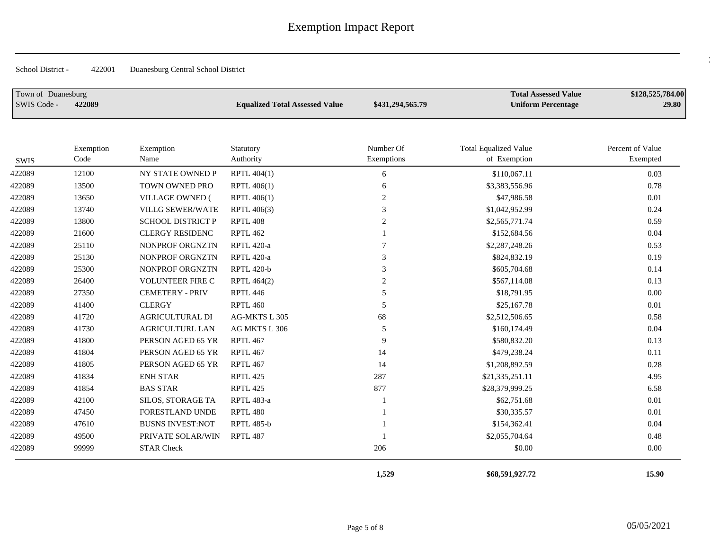$\frac{2}{3}$ 

| Town of Duanesburg<br>SWIS Code - | 422089            |                          | <b>Equalized Total Assessed Value</b> | \$431,294,565.79        | <b>Total Assessed Value</b><br><b>Uniform Percentage</b> | \$128,525,784.00<br>29.80    |
|-----------------------------------|-------------------|--------------------------|---------------------------------------|-------------------------|----------------------------------------------------------|------------------------------|
| <b>SWIS</b>                       | Exemption<br>Code | Exemption<br>Name        | Statutory<br>Authority                | Number Of<br>Exemptions | <b>Total Equalized Value</b><br>of Exemption             | Percent of Value<br>Exempted |
| 422089                            | 12100             | NY STATE OWNED P         | RPTL 404(1)                           | 6                       | \$110,067.11                                             | 0.03                         |
| 422089                            | 13500             | TOWN OWNED PRO           | RPTL 406(1)                           | 6                       | \$3,383,556.96                                           | 0.78                         |
| 422089                            | 13650             | VILLAGE OWNED (          | RPTL 406(1)                           | 2                       | \$47,986.58                                              | 0.01                         |
| 422089                            | 13740             | <b>VILLG SEWER/WATE</b>  | RPTL 406(3)                           | 3                       | \$1,042,952.99                                           | 0.24                         |
| 422089                            | 13800             | <b>SCHOOL DISTRICT P</b> | <b>RPTL 408</b>                       | 2                       | \$2,565,771.74                                           | 0.59                         |
| 422089                            | 21600             | <b>CLERGY RESIDENC</b>   | <b>RPTL 462</b>                       |                         | \$152,684.56                                             | 0.04                         |
| 422089                            | 25110             | NONPROF ORGNZTN          | RPTL 420-a                            | 7                       | \$2,287,248.26                                           | 0.53                         |
| 422089                            | 25130             | NONPROF ORGNZTN          | RPTL 420-a                            | 3                       | \$824,832.19                                             | 0.19                         |
| 422089                            | 25300             | NONPROF ORGNZTN          | <b>RPTL 420-b</b>                     | 3                       | \$605,704.68                                             | 0.14                         |
| 422089                            | 26400             | <b>VOLUNTEER FIRE C</b>  | RPTL 464(2)                           | 2                       | \$567,114.08                                             | 0.13                         |
| 422089                            | 27350             | <b>CEMETERY - PRIV</b>   | <b>RPTL 446</b>                       | .5                      | \$18,791.95                                              | 0.00                         |
| 422089                            | 41400             | <b>CLERGY</b>            | <b>RPTL 460</b>                       | 5                       | \$25,167.78                                              | 0.01                         |
| 422089                            | 41720             | <b>AGRICULTURAL DI</b>   | AG-MKTS L 305                         | 68                      | \$2,512,506.65                                           | 0.58                         |
| 422089                            | 41730             | <b>AGRICULTURL LAN</b>   | AG MKTS L 306                         | 5                       | \$160,174.49                                             | 0.04                         |
| 422089                            | 41800             | PERSON AGED 65 YR        | RPTL 467                              | 9                       | \$580,832.20                                             | 0.13                         |
| 422089                            | 41804             | PERSON AGED 65 YR        | <b>RPTL 467</b>                       | 14                      | \$479,238.24                                             | 0.11                         |
| 422089                            | 41805             | PERSON AGED 65 YR        | RPTL 467                              | 14                      | \$1,208,892.59                                           | 0.28                         |
| 422089                            | 41834             | <b>ENH STAR</b>          | <b>RPTL 425</b>                       | 287                     | \$21,335,251.11                                          | 4.95                         |
| 422089                            | 41854             | <b>BAS STAR</b>          | <b>RPTL 425</b>                       | 877                     | \$28,379,999.25                                          | 6.58                         |
| 422089                            | 42100             | SILOS, STORAGE TA        | <b>RPTL 483-a</b>                     |                         | \$62,751.68                                              | 0.01                         |
| 422089                            | 47450             | FORESTLAND UNDE          | <b>RPTL 480</b>                       |                         | \$30,335.57                                              | 0.01                         |
| 422089                            | 47610             | <b>BUSNS INVEST:NOT</b>  | <b>RPTL 485-b</b>                     |                         | \$154,362.41                                             | 0.04                         |
| 422089                            | 49500             | PRIVATE SOLAR/WIN        | <b>RPTL 487</b>                       |                         | \$2,055,704.64                                           | 0.48                         |
| 422089                            | 99999             | <b>STAR Check</b>        |                                       | 206                     | \$0.00                                                   | 0.00                         |
|                                   |                   |                          |                                       | 1,529                   | \$68,591,927.72                                          | 15.90                        |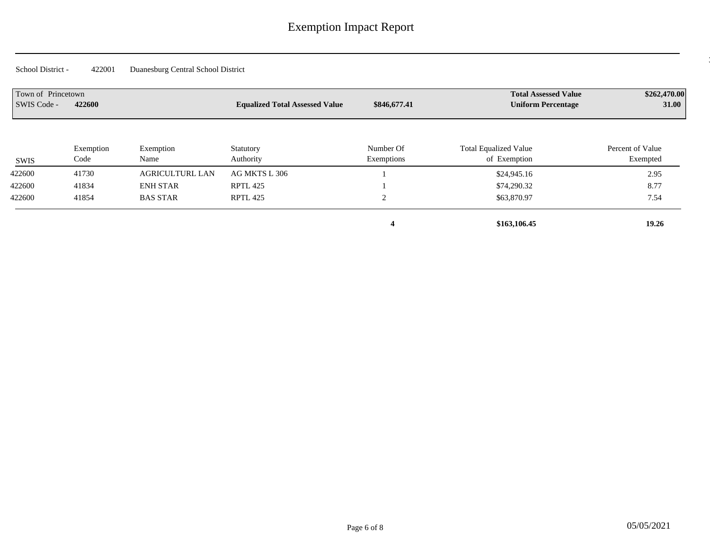06 Princetown 422600 31.00 \$262,470.00 \$262,470.00

| Town of Princetown<br>SWIS Code - | 422600            |                        | <b>Equalized Total Assessed Value</b> | \$846,677.41            | <b>Total Assessed Value</b><br><b>Uniform Percentage</b> | \$262,470.00<br><b>31.00</b> |
|-----------------------------------|-------------------|------------------------|---------------------------------------|-------------------------|----------------------------------------------------------|------------------------------|
| SWIS                              | Exemption<br>Code | Exemption<br>Name      | Statutory<br>Authority                | Number Of<br>Exemptions | <b>Total Equalized Value</b><br>of Exemption             | Percent of Value<br>Exempted |
| 422600                            | 41730             | <b>AGRICULTURL LAN</b> | AG MKTS L 306                         |                         | \$24,945.16                                              | 2.95                         |
| 422600                            | 41834             | <b>ENH STAR</b>        | <b>RPTL 425</b>                       |                         | \$74,290.32                                              | 8.77                         |
| 422600                            | 41854             | <b>BAS STAR</b>        | <b>RPTL 425</b>                       |                         | \$63,870.97                                              | 7.54                         |
|                                   |                   |                        |                                       | 4                       | \$163,106.45                                             | 19.26                        |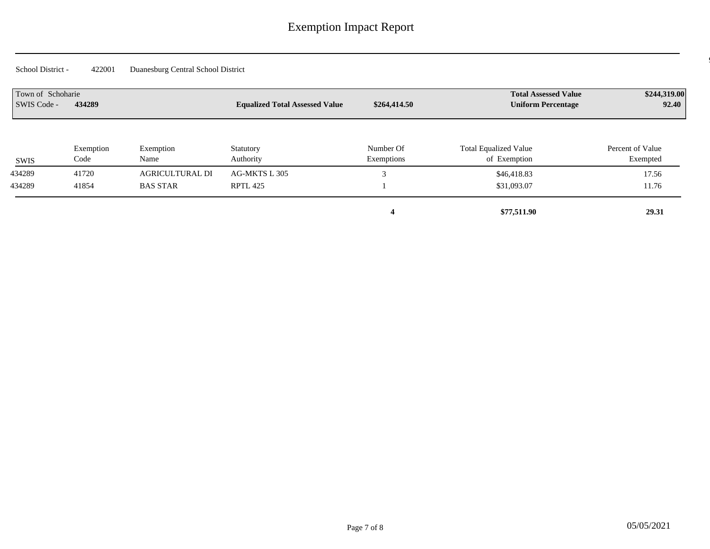| Town of Schoharie<br>SWIS Code - | 434289            |                        | <b>Equalized Total Assessed Value</b> | \$264,414.50            | <b>Total Assessed Value</b><br><b>Uniform Percentage</b> | \$244,319.00<br>92.40        |
|----------------------------------|-------------------|------------------------|---------------------------------------|-------------------------|----------------------------------------------------------|------------------------------|
| SWIS                             | Exemption<br>Code | Exemption<br>Name      | Statutory<br>Authority                | Number Of<br>Exemptions | <b>Total Equalized Value</b><br>of Exemption             | Percent of Value<br>Exempted |
| 434289                           | 41720             | <b>AGRICULTURAL DI</b> | AG-MKTS L 305                         |                         | \$46,418.83                                              | 17.56                        |
| 434289                           | 41854             | <b>BAS STAR</b>        | RPTL 425                              |                         | \$31,093.07                                              | 11.76                        |
|                                  |                   |                        |                                       |                         | \$77,511.90                                              | 29.31                        |

 $\overline{\mathcal{O}}$